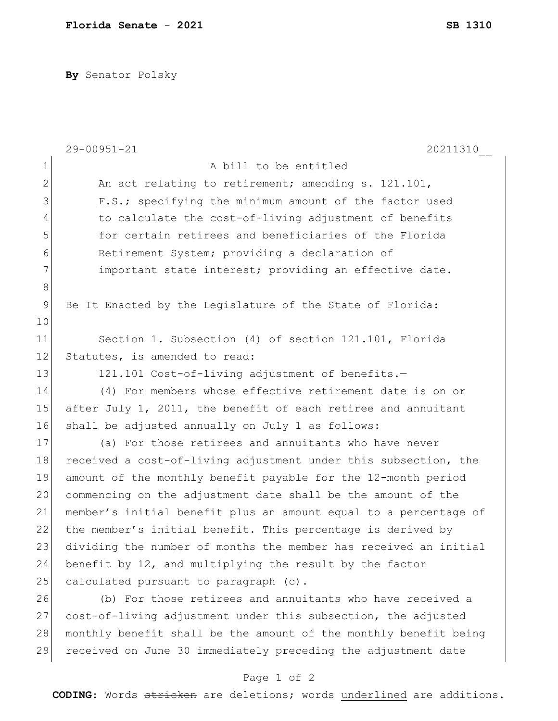**By** Senator Polsky

|               | $29 - 00951 - 21$<br>20211310                                    |
|---------------|------------------------------------------------------------------|
| 1             | A bill to be entitled                                            |
| $\mathbf{2}$  | An act relating to retirement; amending s. 121.101,              |
| 3             | F.S.; specifying the minimum amount of the factor used           |
| 4             | to calculate the cost-of-living adjustment of benefits           |
| 5             | for certain retirees and beneficiaries of the Florida            |
| 6             | Retirement System; providing a declaration of                    |
| 7             | important state interest; providing an effective date.           |
| $\,8\,$       |                                                                  |
| $\mathcal{G}$ | Be It Enacted by the Legislature of the State of Florida:        |
| 10            |                                                                  |
| 11            | Section 1. Subsection (4) of section 121.101, Florida            |
| 12            | Statutes, is amended to read:                                    |
| 13            | 121.101 Cost-of-living adjustment of benefits.-                  |
| 14            | (4) For members whose effective retirement date is on or         |
| 15            | after July 1, 2011, the benefit of each retiree and annuitant    |
| 16            | shall be adjusted annually on July 1 as follows:                 |
| 17            | (a) For those retirees and annuitants who have never             |
| 18            | received a cost-of-living adjustment under this subsection, the  |
| 19            | amount of the monthly benefit payable for the 12-month period    |
| 20            | commencing on the adjustment date shall be the amount of the     |
| 21            | member's initial benefit plus an amount equal to a percentage of |
| 22            | the member's initial benefit. This percentage is derived by      |
| 23            | dividing the number of months the member has received an initial |
| 24            | benefit by 12, and multiplying the result by the factor          |
| 25            | calculated pursuant to paragraph (c).                            |
| 26            | (b) For those retirees and annuitants who have received a        |
| 27            | cost-of-living adjustment under this subsection, the adjusted    |
| 28            | monthly benefit shall be the amount of the monthly benefit being |
| 29            | received on June 30 immediately preceding the adjustment date    |

## Page 1 of 2

**CODING**: Words stricken are deletions; words underlined are additions.